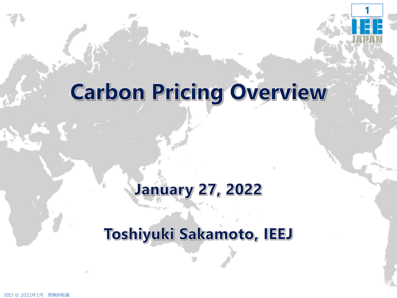

# **Carbon Pricing Overview**

# **January 27, 2022**

#### Toshiyuki Sakamoto, IEEJ

IEEJ © 2022年1月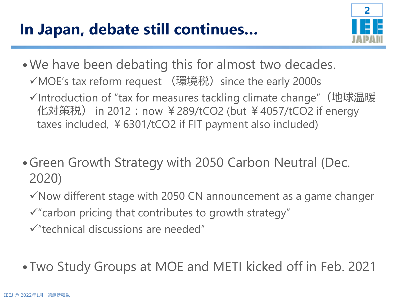### **In Japan, debate still continues…**



- •We have been debating this for almost two decades. **√MOE's tax reform request (環境税) since the early 2000s** 
	- ✓Introduction of "tax for measures tackling climate change"(地球温暖 化対策税) in 2012:now ¥289/tCO2 (but ¥4057/tCO2 if energy taxes included, ¥6301/tCO2 if FIT payment also included)
- •Green Growth Strategy with 2050 Carbon Neutral (Dec. 2020)
	- $\checkmark$  Now different stage with 2050 CN announcement as a game changer
	- $\checkmark$  "carbon pricing that contributes to growth strategy"
	- ✓"technical discussions are needed"
- •Two Study Groups at MOE and METI kicked off in Feb. 2021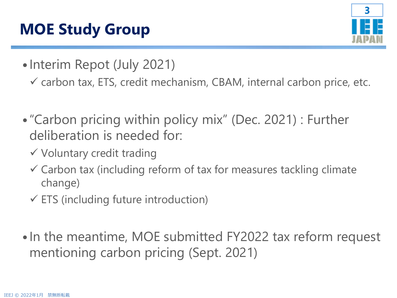# **MOE Study Group**



- Interim Repot (July 2021)
	- $\checkmark$  carbon tax, ETS, credit mechanism, CBAM, internal carbon price, etc.
- •"Carbon pricing within policy mix" (Dec. 2021) : Further deliberation is needed for:
	- ✓ Voluntary credit trading
	- $\checkmark$  Carbon tax (including reform of tax for measures tackling climate change)
	- $\checkmark$  ETS (including future introduction)
- •In the meantime, MOE submitted FY2022 tax reform request mentioning carbon pricing (Sept. 2021)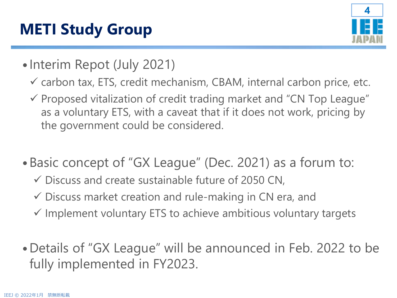# **METI Study Group**



- Interim Repot (July 2021)
	- $\checkmark$  carbon tax, ETS, credit mechanism, CBAM, internal carbon price, etc.
	- ✓ Proposed vitalization of credit trading market and "CN Top League" as a voluntary ETS, with a caveat that if it does not work, pricing by the government could be considered.
- •Basic concept of "GX League" (Dec. 2021) as a forum to:
	- $\checkmark$  Discuss and create sustainable future of 2050 CN,
	- $\checkmark$  Discuss market creation and rule-making in CN era, and
	- $\checkmark$  Implement voluntary ETS to achieve ambitious voluntary targets
- •Details of "GX League" will be announced in Feb. 2022 to be fully implemented in FY2023.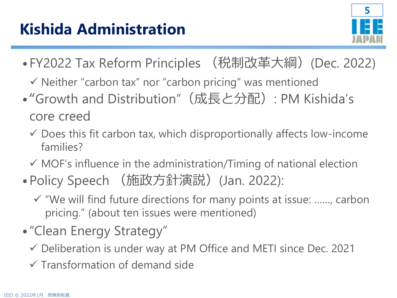

- •FY2022 Tax Reform Principles (税制改革大綱)(Dec. 2022)
	- ✓ Neither "carbon tax" nor "carbon pricing" was mentioned
- "Growth and Distribution" (成長と分配): PM Kishida's core creed
	- $\checkmark$  Does this fit carbon tax, which disproportionally affects low-income families?
	- $\checkmark$  MOF's influence in the administration/Timing of national election
- Policy Speech (施政方針演説) (Jan. 2022):
	- ✓ "We will find future directions for many points at issue: ……, carbon pricing." (about ten issues were mentioned)
- •"Clean Energy Strategy"
	- ✓ Deliberation is under way at PM Office and METI since Dec. 2021
	- $\checkmark$  Transformation of demand side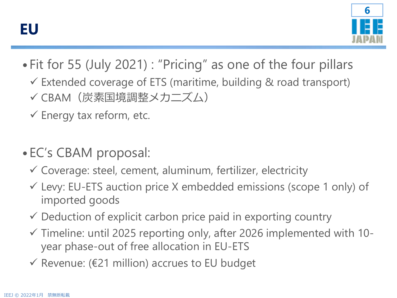

- •Fit for 55 (July 2021) : "Pricing" as one of the four pillars
	- ✓ Extended coverage of ETS (maritime, building & road transport)
	- ✓ CBAM(炭素国境調整メカニズム)
	- $\checkmark$  Energy tax reform, etc.
- •EC's CBAM proposal:
	- $\checkmark$  Coverage: steel, cement, aluminum, fertilizer, electricity
	- $\checkmark$  Levy: EU-ETS auction price X embedded emissions (scope 1 only) of imported goods
	- $\checkmark$  Deduction of explicit carbon price paid in exporting country
	- ✓ Timeline: until 2025 reporting only, after 2026 implemented with 10 year phase-out of free allocation in EU-ETS
	- ✓ Revenue: (€21 million) accrues to EU budget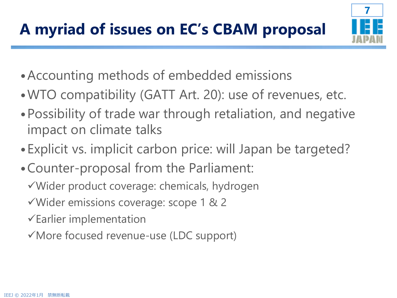

- •Accounting methods of embedded emissions
- •WTO compatibility (GATT Art. 20): use of revenues, etc.
- •Possibility of trade war through retaliation, and negative impact on climate talks
- •Explicit vs. implicit carbon price: will Japan be targeted?
- •Counter-proposal from the Parliament:
	- ✓Wider product coverage: chemicals, hydrogen
	- ✓Wider emissions coverage: scope 1 & 2
	- $\checkmark$  Earlier implementation
	- ✓More focused revenue-use (LDC support)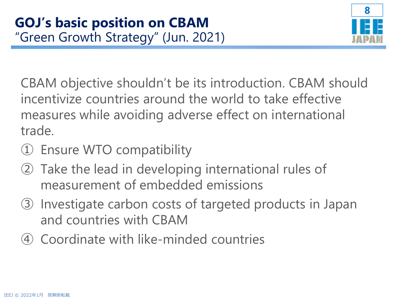

CBAM objective shouldn't be its introduction. CBAM should incentivize countries around the world to take effective measures while avoiding adverse effect on international trade.

- ① Ensure WTO compatibility
- ② Take the lead in developing international rules of measurement of embedded emissions
- ③ Investigate carbon costs of targeted products in Japan and countries with CBAM
- ④ Coordinate with like-minded countries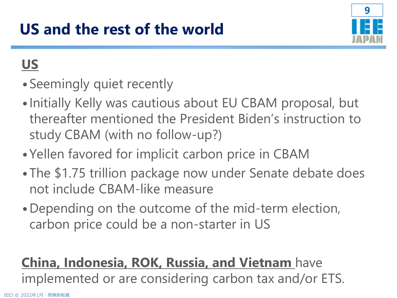

#### **US**

- •Seemingly quiet recently
- •Initially Kelly was cautious about EU CBAM proposal, but thereafter mentioned the President Biden's instruction to study CBAM (with no follow-up?)
- •Yellen favored for implicit carbon price in CBAM
- •The \$1.75 trillion package now under Senate debate does not include CBAM-like measure
- •Depending on the outcome of the mid-term election, carbon price could be a non-starter in US

#### **China, Indonesia, ROK, Russia, and Vietnam** have

implemented or are considering carbon tax and/or ETS.